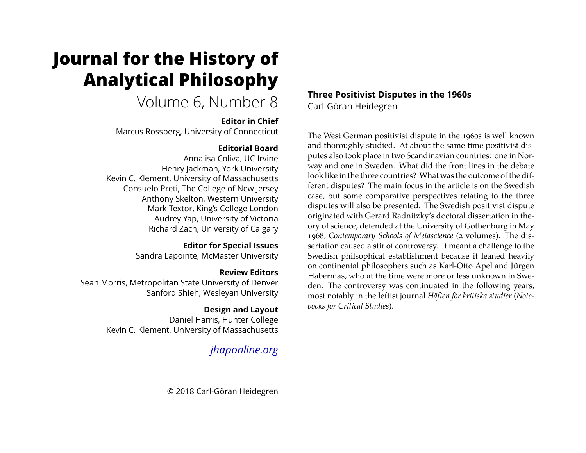# **Journal for the History of Analytical Philosophy**

# Volume 6, Number 8

## **Editor in Chief**

Marcus Rossberg, University of Connecticut

# **Editorial Board**

Annalisa Coliva, UC Irvine Henry Jackman, York University Kevin C. Klement, University of Massachusetts Consuelo Preti, The College of New Jersey Anthony Skelton, Western University Mark Textor, King's College London Audrey Yap, University of Victoria Richard Zach, University of Calgary

# **Editor for Special Issues**

Sandra Lapointe, McMaster University

# **Review Editors**

Sean Morris, Metropolitan State University of Denver Sanford Shieh, Wesleyan University

# **Design and Layout**

Daniel Harris, Hunter College Kevin C. Klement, University of Massachusetts

# *jhaponline.org*

**Three Positivist Disputes in the 1960s** Carl-Göran Heidegren

The West German positivist dispute in the 1960s is well known and thoroughly studied. At about the same time positivist disputes also took place in two Scandinavian countries: one in Norway and one in Sweden. What did the front lines in the debate look like in the three countries? What was the outcome of the different disputes? The main focus in the article is on the Swedish case, but some comparative perspectives relating to the three disputes will also be presented. The Swedish positivist dispute originated with Gerard Radnitzky's doctoral dissertation in theory of science, defended at the University of Gothenburg in May 1968, *Contemporary Schools of Metascience* (2 volumes). The dissertation caused a stir of controversy. It meant a challenge to the Swedish philsophical establishment because it leaned heavily on continental philosophers such as Karl-Otto Apel and Jürgen Habermas, who at the time were more or less unknown in Sweden. The controversy was continuated in the following years, most notably in the leftist journal *Häften för kritiska studier* (*Notebooks for Critical Studies*).

© 2018 Carl-Göran Heidegren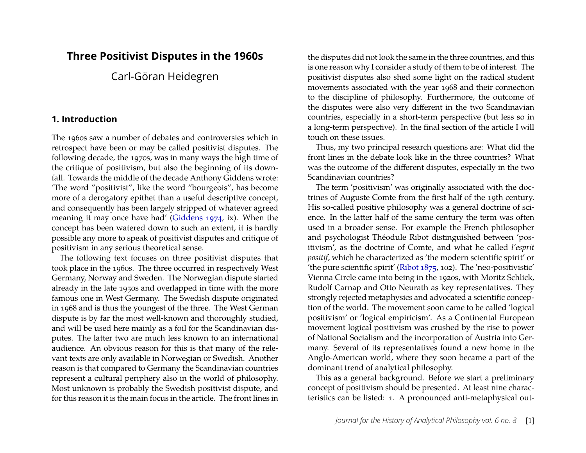# **Three Positivist Disputes in the 1960s**

Carl-Göran Heidegren

#### **1. Introduction**

The 1960s saw a number of debates and controversies which in retrospect have been or may be called positivist disputes. The following decade, the 1970s, was in many ways the high time of the critique of positivism, but also the beginning of its downfall. Towards the middle of the decade Anthony Giddens wrote: 'The word "positivist", like the word "bourgeois", has become more of a derogatory epithet than a useful descriptive concept, and consequently has been largely stripped of whatever agreed meaning it may once have had' (Giddens 1974, ix). When the concept has been watered down to such an extent, it is hardly possible any more to speak of positivist disputes and critique of positivism in any serious theoretical sense.

The following text focuses on three positivist disputes that took place in the 1960s. The three occurred in respectively West Germany, Norway and Sweden. The Norwegian dispute started already in the late 1950s and overlapped in time with the more famous one in West Germany. The Swedish dispute originated in 1968 and is thus the youngest of the three. The West German dispute is by far the most well-known and thoroughly studied, and will be used here mainly as a foil for the Scandinavian disputes. The latter two are much less known to an international audience. An obvious reason for this is that many of the relevant texts are only available in Norwegian or Swedish. Another reason is that compared to Germany the Scandinavian countries represent a cultural periphery also in the world of philosophy. Most unknown is probably the Swedish positivist dispute, and for this reason it is the main focus in the article. The front lines in the disputes did not look the same in the three countries, and this is one reason why I consider a study of them to be of interest. The positivist disputes also shed some light on the radical student movements associated with the year 1968 and their connection to the discipline of philosophy. Furthermore, the outcome of the disputes were also very different in the two Scandinavian countries, especially in a short-term perspective (but less so in a long-term perspective). In the final section of the article I will touch on these issues.

Thus, my two principal research questions are: What did the front lines in the debate look like in the three countries? What was the outcome of the different disputes, especially in the two Scandinavian countries?

The term 'positivism' was originally associated with the doctrines of Auguste Comte from the first half of the 19th century. His so-called positive philosophy was a general doctrine of science. In the latter half of the same century the term was often used in a broader sense. For example the French philosopher and psychologist Théodule Ribot distinguished between 'positivism', as the doctrine of Comte, and what he called *l'esprit positif*, which he characterized as 'the modern scientific spirit' or 'the pure scientific spirit' (Ribot  $1875$ , 102). The 'neo-positivistic' Vienna Circle came into being in the 1920s, with Moritz Schlick, Rudolf Carnap and Otto Neurath as key representatives. They strongly rejected metaphysics and advocated a scientific conception of the world. The movement soon came to be called 'logical positivism' or 'logical empiricism'. As a Continental European movement logical positivism was crushed by the rise to power of National Socialism and the incorporation of Austria into Germany. Several of its representatives found a new home in the Anglo-American world, where they soon became a part of the dominant trend of analytical philosophy.

This as a general background. Before we start a preliminary concept of positivism should be presented. At least nine characteristics can be listed: 1. A pronounced anti-metaphysical out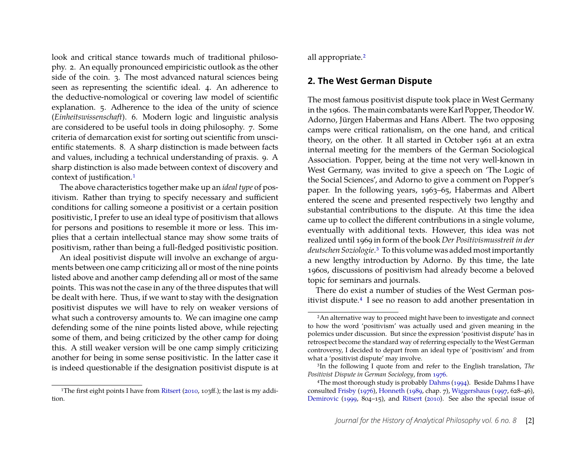look and critical stance towards much of traditional philosophy. 2. An equally pronounced empiricistic outlook as the other side of the coin. 3. The most advanced natural sciences being seen as representing the scientific ideal. 4. An adherence to the deductive-nomological or covering law model of scientific explanation. 5. Adherence to the idea of the unity of science (*Einheitswissenschaft*). 6. Modern logic and linguistic analysis are considered to be useful tools in doing philosophy. 7. Some criteria of demarcation exist for sorting out scientific from unscientific statements. 8. A sharp distinction is made between facts and values, including a technical understanding of praxis. 9. A sharp distinction is also made between context of discovery and context of justification.1

The above characteristics together make up an *ideal type* of positivism. Rather than trying to specify necessary and sufficient conditions for calling someone a positivist or a certain position positivistic, I prefer to use an ideal type of positivism that allows for persons and positions to resemble it more or less. This implies that a certain intellectual stance may show some traits of positivism, rather than being a full-fledged positivistic position.

An ideal positivist dispute will involve an exchange of arguments between one camp criticizing all or most of the nine points listed above and another camp defending all or most of the same points. This was not the case in any of the three disputes that will be dealt with here. Thus, if we want to stay with the designation positivist disputes we will have to rely on weaker versions of what such a controversy amounts to. We can imagine one camp defending some of the nine points listed above, while rejecting some of them, and being criticized by the other camp for doing this. A still weaker version will be one camp simply criticizing another for being in some sense positivistic. In the latter case it is indeed questionable if the designation positivist dispute is at

<sup>1</sup>The first eight points I have from Ritsert (2010, 103ff.); the last is my addition.

all appropriate.2

#### **2. The West German Dispute**

The most famous positivist dispute took place in West Germany in the 1960s. The main combatants were Karl Popper, TheodorW. Adorno, Jürgen Habermas and Hans Albert. The two opposing camps were critical rationalism, on the one hand, and critical theory, on the other. It all started in October 1961 at an extra internal meeting for the members of the German Sociological Association. Popper, being at the time not very well-known in West Germany, was invited to give a speech on 'The Logic of the Social Sciences', and Adorno to give a comment on Popper's paper. In the following years, 1963–65, Habermas and Albert entered the scene and presented respectively two lengthy and substantial contributions to the dispute. At this time the idea came up to collect the different contributions in a single volume, eventually with additional texts. However, this idea was not realized until 1969 in form of the book *Der Positivismusstreit in der deutschen Soziologie*.3 To this volume was added most importantly a new lengthy introduction by Adorno. By this time, the late 1960s, discussions of positivism had already become a beloved topic for seminars and journals.

There do exist a number of studies of the West German positivist dispute.4 I see no reason to add another presentation in

<sup>2</sup>An alternative way to proceed might have been to investigate and connect to how the word 'positivism' was actually used and given meaning in the polemics under discussion. But since the expression 'positivist dispute' has in retrospect become the standard way of referring especially to the West German controversy, I decided to depart from an ideal type of 'positivism' and from what a 'positivist dispute' may involve.

<sup>3</sup>In the following I quote from and refer to the English translation, *The Positivist Dispute in German Sociology*, from 1976.

<sup>&</sup>lt;sup>4</sup>The most thorough study is probably Dahms (1994). Beside Dahms I have consulted Frisby (1976), Honneth (1989, chap. 7), Wiggershaus (1997, 628–46), Demirovic (1999, 804–15), and Ritsert (2010). See also the special issue of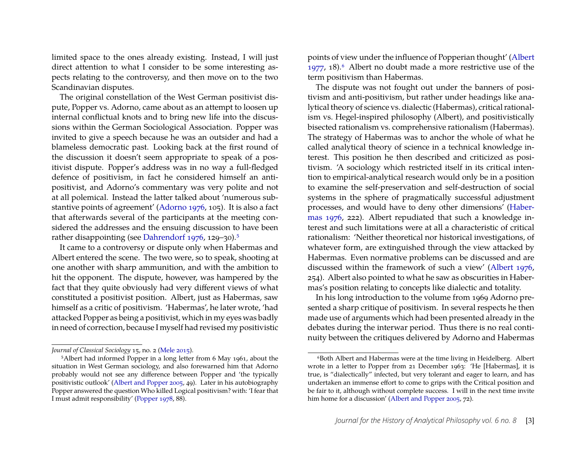limited space to the ones already existing. Instead, I will just direct attention to what I consider to be some interesting aspects relating to the controversy, and then move on to the two Scandinavian disputes.

The original constellation of the West German positivist dispute, Popper vs. Adorno, came about as an attempt to loosen up internal conflictual knots and to bring new life into the discussions within the German Sociological Association. Popper was invited to give a speech because he was an outsider and had a blameless democratic past. Looking back at the first round of the discussion it doesn't seem appropriate to speak of a positivist dispute. Popper's address was in no way a full-fledged defence of positivism, in fact he considered himself an antipositivist, and Adorno's commentary was very polite and not at all polemical. Instead the latter talked about 'numerous substantive points of agreement' (Adorno 1976, 105). It is also a fact that afterwards several of the participants at the meeting considered the addresses and the ensuing discussion to have been rather disappointing (see Dahrendorf 1976, 129–30).5

It came to a controversy or dispute only when Habermas and Albert entered the scene. The two were, so to speak, shooting at one another with sharp ammunition, and with the ambition to hit the opponent. The dispute, however, was hampered by the fact that they quite obviously had very different views of what constituted a positivist position. Albert, just as Habermas, saw himself as a critic of positivism. 'Habermas', he later wrote, 'had attacked Popper as being a positivist, which in my eyes was badly in need of correction, because I myself had revised my positivistic points of view under the influence of Popperian thought' (Albert 1977, 18).6 Albert no doubt made a more restrictive use of the term positivism than Habermas.

The dispute was not fought out under the banners of positivism and anti-positivism, but rather under headings like analytical theory of science vs. dialectic (Habermas), critical rationalism vs. Hegel-inspired philosophy (Albert), and positivistically bisected rationalism vs. comprehensive rationalism (Habermas). The strategy of Habermas was to anchor the whole of what he called analytical theory of science in a technical knowledge interest. This position he then described and criticized as positivism. 'A sociology which restricted itself in its critical intention to empirical-analytical research would only be in a position to examine the self-preservation and self-destruction of social systems in the sphere of pragmatically successful adjustment processes, and would have to deny other dimensions' (Habermas 1976, 222). Albert repudiated that such a knowledge interest and such limitations were at all a characteristic of critical rationalism: 'Neither theoretical nor historical investigations, of whatever form, are extinguished through the view attacked by Habermas. Even normative problems can be discussed and are discussed within the framework of such a view' (Albert 1976, 254). Albert also pointed to what he saw as obscurities in Habermas's position relating to concepts like dialectic and totality.

In his long introduction to the volume from 1969 Adorno presented a sharp critique of positivism. In several respects he then made use of arguments which had been presented already in the debates during the interwar period. Thus there is no real continuity between the critiques delivered by Adorno and Habermas

*Journal of Classical Sociology* 15, no. 2 (Mele 2015).

<sup>5</sup>Albert had informed Popper in a long letter from 6 May 1961, about the situation in West German sociology, and also forewarned him that Adorno probably would not see any difference between Popper and 'the typically positivistic outlook' (Albert and Popper 2005, 49). Later in his autobiography Popper answered the question Who killed Logical positivism? with: 'I fear that I must admit responsibility' (Popper 1978, 88).

<sup>6</sup>Both Albert and Habermas were at the time living in Heidelberg. Albert wrote in a letter to Popper from 21 December 1963: 'He [Habermas], it is true, is "dialectically" infected, but very tolerant and eager to learn, and has undertaken an immense effort to come to grips with the Critical position and be fair to it, although without complete success. I will in the next time invite him home for a discussion' (Albert and Popper 2005, 72).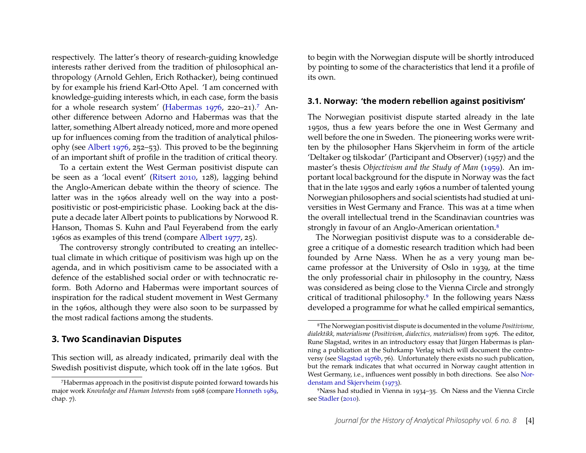respectively. The latter's theory of research-guiding knowledge interests rather derived from the tradition of philosophical anthropology (Arnold Gehlen, Erich Rothacker), being continued by for example his friend Karl-Otto Apel. 'I am concerned with knowledge-guiding interests which, in each case, form the basis for a whole research system' (Habermas 1976, 220–21).7 Another difference between Adorno and Habermas was that the latter, something Albert already noticed, more and more opened up for influences coming from the tradition of analytical philosophy (see Albert 1976, 252–53). This proved to be the beginning of an important shift of profile in the tradition of critical theory.

To a certain extent the West German positivist dispute can be seen as a 'local event' (Ritsert 2010, 128), lagging behind the Anglo-American debate within the theory of science. The latter was in the 1960s already well on the way into a postpositivistic or post-empiricistic phase. Looking back at the dispute a decade later Albert points to publications by Norwood R. Hanson, Thomas S. Kuhn and Paul Feyerabend from the early 1960s as examples of this trend (compare Albert 1977, 25).

The controversy strongly contributed to creating an intellectual climate in which critique of positivism was high up on the agenda, and in which positivism came to be associated with a defence of the established social order or with technocratic reform. Both Adorno and Habermas were important sources of inspiration for the radical student movement in West Germany in the 1960s, although they were also soon to be surpassed by the most radical factions among the students.

#### **3. Two Scandinavian Disputes**

This section will, as already indicated, primarily deal with the Swedish positivist dispute, which took off in the late 1960s. But to begin with the Norwegian dispute will be shortly introduced by pointing to some of the characteristics that lend it a profile of its own.

#### **3.1. Norway: 'the modern rebellion against positivism'**

The Norwegian positivist dispute started already in the late 1950s, thus a few years before the one in West Germany and well before the one in Sweden. The pioneering works were written by the philosopher Hans Skjervheim in form of the article 'Deltaker og tilskodar' (Participant and Observer) (1957) and the master's thesis *Objectivism and the Study of Man* (1959). An important local background for the dispute in Norway was the fact that in the late 1950s and early 1960s a number of talented young Norwegian philosophers and social scientists had studied at universities in West Germany and France. This was at a time when the overall intellectual trend in the Scandinavian countries was strongly in favour of an Anglo-American orientation.<sup>8</sup>

The Norwegian positivist dispute was to a considerable degree a critique of a domestic research tradition which had been founded by Arne Næss. When he as a very young man became professor at the University of Oslo in 1939, at the time the only professorial chair in philosophy in the country, Næss was considered as being close to the Vienna Circle and strongly critical of traditional philosophy.9 In the following years Næss developed a programme for what he called empirical semantics,

<sup>7</sup>Habermas approach in the positivist dispute pointed forward towards his major work *Knowledge and Human Interests* from 1968 (compare Honneth 1989, chap. 7).

<sup>8</sup>The Norwegian positivist dispute is documented in the volume *Positivisme, dialektikk, materialisme* (*Positivism, dialectics, materialism*) from 1976. The editor, Rune Slagstad, writes in an introductory essay that Jürgen Habermas is planning a publication at the Suhrkamp Verlag which will document the controversy (see Slagstad 1976b, 76). Unfortunately there exists no such publication, but the remark indicates that what occurred in Norway caught attention in West Germany, i.e., influences went possibly in both directions. See also Nordenstam and Skjervheim (1973).

<sup>9</sup>Næss had studied in Vienna in 1934–35. On Næss and the Vienna Circle see Stadler (2010).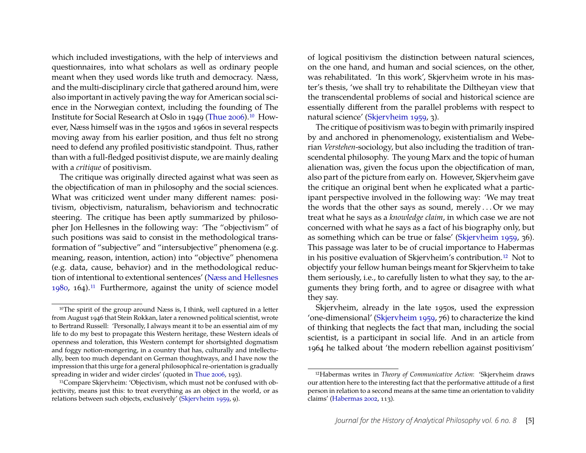which included investigations, with the help of interviews and questionnaires, into what scholars as well as ordinary people meant when they used words like truth and democracy. Næss, and the multi-disciplinary circle that gathered around him, were also important in actively paving the way for American social science in the Norwegian context, including the founding of The Institute for Social Research at Oslo in 1949 (Thue 2006).10 However, Næss himself was in the 1950s and 1960s in several respects moving away from his earlier position, and thus felt no strong need to defend any profiled positivistic standpoint. Thus, rather than with a full-fledged positivist dispute, we are mainly dealing with a *critique* of positivism.

The critique was originally directed against what was seen as the objectification of man in philosophy and the social sciences. What was criticized went under many different names: positivism, objectivism, naturalism, behaviorism and technocratic steering. The critique has been aptly summarized by philosopher Jon Hellesnes in the following way: 'The "objectivism" of such positions was said to consist in the methodological transformation of "subjective" and "intersubjective" phenomena (e.g. meaning, reason, intention, action) into "objective" phenomena (e.g. data, cause, behavior) and in the methodological reduction of intentional to extentional sentences' (Næss and Hellesnes  $1980, 164$ .<sup>11</sup> Furthermore, against the unity of science model

of logical positivism the distinction between natural sciences, on the one hand, and human and social sciences, on the other, was rehabilitated. 'In this work', Skjervheim wrote in his master's thesis, 'we shall try to rehabilitate the Diltheyan view that the transcendental problems of social and historical science are essentially different from the parallel problems with respect to natural science' (Skjervheim 1959, 3).

The critique of positivism was to begin with primarily inspired by and anchored in phenomenology, existentialism and Weberian *Verstehen*-sociology, but also including the tradition of transcendental philosophy. The young Marx and the topic of human alienation was, given the focus upon the objectification of man, also part of the picture from early on. However, Skjervheim gave the critique an original bent when he explicated what a participant perspective involved in the following way: 'We may treat the words that the other says as sound, merely . . . Or we may treat what he says as a *knowledge claim*, in which case we are not concerned with what he says as a fact of his biography only, but as something which can be true or false' (Skjervheim 1959, 36). This passage was later to be of crucial importance to Habermas in his positive evaluation of Skjervheim's contribution.12 Not to objectify your fellow human beings meant for Skjervheim to take them seriously, i.e., to carefully listen to what they say, to the arguments they bring forth, and to agree or disagree with what they say.

Skjervheim, already in the late 1950s, used the expression 'one-dimensional' (Skjervheim 1959, 76) to characterize the kind of thinking that neglects the fact that man, including the social scientist, is a participant in social life. And in an article from 1964 he talked about 'the modern rebellion against positivism'

<sup>&</sup>lt;sup>10</sup>The spirit of the group around Næss is, I think, well captured in a letter from August 1946 that Stein Rokkan, later a renowned political scientist, wrote to Bertrand Russell: 'Personally, I always meant it to be an essential aim of my life to do my best to propagate this Western heritage, these Western ideals of openness and toleration, this Western contempt for shortsighted dogmatism and foggy notion-mongering, in a country that has, culturally and intellectually, been too much dependant on German thoughtways, and I have now the impression that this urge for a general philosophical re-orientation is gradually spreading in wider and wider circles' (quoted in Thue 2006, 193).

<sup>11</sup>Compare Skjervheim: 'Objectivism, which must not be confused with objectivity, means just this: to treat everything as an object in the world, or as relations between such objects, exclusively' (Skjervheim 1959, 9).

<sup>12</sup>Habermas writes in *Theory of Communicative Action*: 'Skjervheim draws our attention here to the interesting fact that the performative attitude of a first person in relation to a second means at the same time an orientation to validity claims' (Habermas 2002, 113).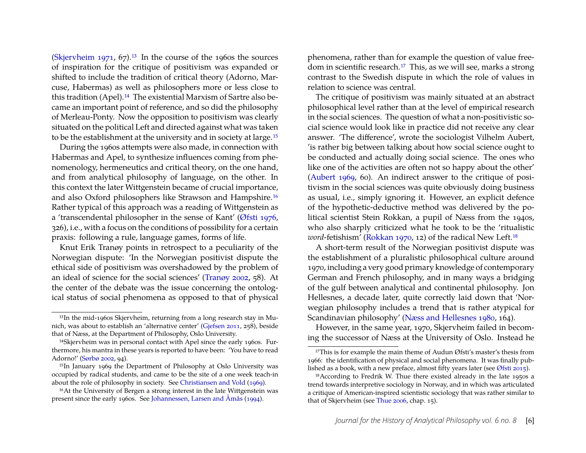(Skjervheim 1971, 67).<sup>13</sup> In the course of the 1960s the sources of inspiration for the critique of positivism was expanded or shifted to include the tradition of critical theory (Adorno, Marcuse, Habermas) as well as philosophers more or less close to this tradition (Apel).<sup>14</sup> The existential Marxism of Sartre also became an important point of reference, and so did the philosophy of Merleau-Ponty. Now the opposition to positivism was clearly situated on the political Left and directed against what was taken to be the establishment at the university and in society at large.15

During the 1960s attempts were also made, in connection with Habermas and Apel, to synthesize influences coming from phenomenology, hermeneutics and critical theory, on the one hand, and from analytical philosophy of language, on the other. In this context the later Wittgenstein became of crucial importance, and also Oxford philosophers like Strawson and Hampshire.16 Rather typical of this approach was a reading of Wittgenstein as a 'transcendental philosopher in the sense of Kant' (Øfsti 1976, 326), i.e., with a focus on the conditions of possibility for a certain praxis: following a rule, language games, forms of life.

Knut Erik Tranøy points in retrospect to a peculiarity of the Norwegian dispute: 'In the Norwegian positivist dispute the ethical side of positivism was overshadowed by the problem of an ideal of science for the social sciences' (Tranøy 2002, 58). At the center of the debate was the issue concerning the ontological status of social phenomena as opposed to that of physical

phenomena, rather than for example the question of value freedom in scientific research.17 This, as we will see, marks a strong contrast to the Swedish dispute in which the role of values in relation to science was central.

The critique of positivism was mainly situated at an abstract philosophical level rather than at the level of empirical research in the social sciences. The question of what a non-positivistic social science would look like in practice did not receive any clear answer. 'The difference', wrote the sociologist Vilhelm Aubert, 'is rather big between talking about how social science ought to be conducted and actually doing social science. The ones who like one of the activities are often not so happy about the other' (Aubert 1969, 60). An indirect answer to the critique of positivism in the social sciences was quite obviously doing business as usual, i.e., simply ignoring it. However, an explicit defence of the hypothetic-deductive method was delivered by the political scientist Stein Rokkan, a pupil of Næss from the 1940s, who also sharply criticized what he took to be the 'ritualistic *word-fetishism'* (Rokkan 1970, 12) of the radical New Left.<sup>18</sup>

A short-term result of the Norwegian positivist dispute was the establishment of a pluralistic philosophical culture around 1970, including a very good primary knowledge of contemporary German and French philosophy, and in many ways a bridging of the gulf between analytical and continental philosophy. Jon Hellesnes, a decade later, quite correctly laid down that 'Norwegian philosophy includes a trend that is rather atypical for Scandinavian philosophy' (Næss and Hellesnes 1980, 164).

However, in the same year, 1970, Skjervheim failed in becoming the successor of Næss at the University of Oslo. Instead he

<sup>13</sup>In the mid-1960s Skjervheim, returning from a long research stay in Munich, was about to establish an 'alternative center' (Gjefsen 2011, 258), beside that of Næss, at the Department of Philosophy, Oslo University.

<sup>&</sup>lt;sup>14</sup>Skjervheim was in personal contact with Apel since the early 1960s. Furthermore, his mantra in these years is reported to have been: 'You have to read Adorno!' (Sørbø 2002, 94).

<sup>&</sup>lt;sup>15</sup>In January 1969 the Department of Philosophy at Oslo University was occupied by radical students, and came to be the site of a one week teach-in about the role of philosophy in society. See Christiansen and Vold (1969).

<sup>16</sup>At the University of Bergen a strong interest in the late Wittgenstein was present since the early 1960s. See Johannessen, Larsen and Åmås (1994).

<sup>&</sup>lt;sup>17</sup>This is for example the main theme of Audun Øfsti's master's thesis from 1966: the identification of physical and social phenomena. It was finally published as a book, with a new preface, almost fifty years later (see Øfsti 2015).

<sup>18</sup>According to Fredrik W. Thue there existed already in the late 1950s a trend towards interpretive sociology in Norway, and in which was articulated a critique of American-inspired scientistic sociology that was rather similar to that of Skjervheim (see Thue 2006, chap. 15).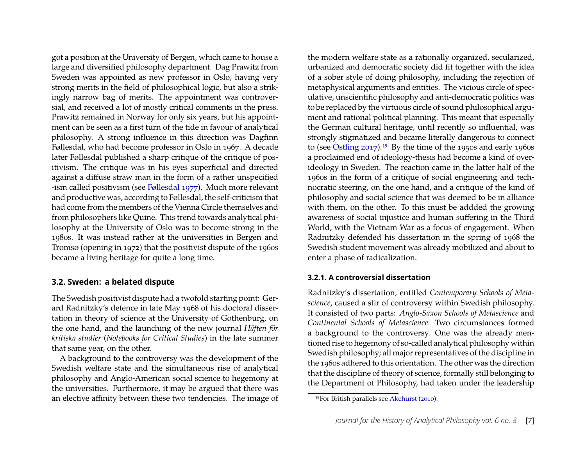got a position at the University of Bergen, which came to house a large and diversified philosophy department. Dag Prawitz from Sweden was appointed as new professor in Oslo, having very strong merits in the field of philosophical logic, but also a strikingly narrow bag of merits. The appointment was controversial, and received a lot of mostly critical comments in the press. Prawitz remained in Norway for only six years, but his appointment can be seen as a first turn of the tide in favour of analytical philosophy. A strong influence in this direction was Dagfinn Føllesdal, who had become professor in Oslo in 1967. A decade later Føllesdal published a sharp critique of the critique of positivism. The critique was in his eyes superficial and directed against a diffuse straw man in the form of a rather unspecified -ism called positivism (see Føllesdal 1977). Much more relevant and productive was, according to Føllesdal, the self-criticism that had come from the members of the Vienna Circle themselves and from philosophers like Quine. This trend towards analytical philosophy at the University of Oslo was to become strong in the 1980s. It was instead rather at the universities in Bergen and Tromsø (opening in 1972) that the positivist dispute of the 1960s became a living heritage for quite a long time.

#### **3.2. Sweden: a belated dispute**

The Swedish positivist dispute had a twofold starting point: Gerard Radnitzky's defence in late May 1968 of his doctoral dissertation in theory of science at the University of Gothenburg, on the one hand, and the launching of the new journal *Häften för kritiska studier* (*Notebooks for Critical Studies*) in the late summer that same year, on the other.

A background to the controversy was the development of the Swedish welfare state and the simultaneous rise of analytical philosophy and Anglo-American social science to hegemony at the universities. Furthermore, it may be argued that there was an elective affinity between these two tendencies. The image of

the modern welfare state as a rationally organized, secularized, urbanized and democratic society did fit together with the idea of a sober style of doing philosophy, including the rejection of metaphysical arguments and entities. The vicious circle of speculative, unscientific philosophy and anti-democratic politics was to be replaced by the virtuous circle of sound philosophical argument and rational political planning. This meant that especially the German cultural heritage, until recently so influential, was strongly stigmatized and became literally dangerous to connect to (see Östling  $2017$ ).<sup>19</sup> By the time of the 1950s and early 1960s a proclaimed end of ideology-thesis had become a kind of overideology in Sweden. The reaction came in the latter half of the 1960s in the form of a critique of social engineering and technocratic steering, on the one hand, and a critique of the kind of philosophy and social science that was deemed to be in alliance with them, on the other. To this must be addded the growing awareness of social injustice and human suffering in the Third World, with the Vietnam War as a focus of engagement. When Radnitzky defended his dissertation in the spring of 1968 the Swedish student movement was already mobilized and about to enter a phase of radicalization.

#### **3.2.1. A controversial dissertation**

Radnitzky's dissertation, entitled *Contemporary Schools of Metascience*, caused a stir of controversy within Swedish philosophy. It consisted of two parts: *Anglo-Saxon Schools of Metascience* and *Continental Schools of Metascience*. Two circumstances formed a background to the controversy. One was the already mentioned rise to hegemony of so-called analytical philosophy within Swedish philosophy; all major representatives of the discipline in the 1960s adhered to this orientation. The other was the direction that the discipline of theory of science, formally still belonging to the Department of Philosophy, had taken under the leadership

<sup>19</sup>For British parallels see Akehurst (2010).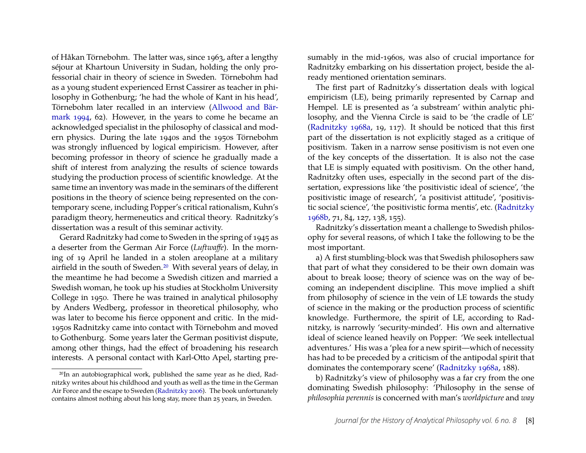of Håkan Törnebohm. The latter was, since 1963, after a lengthy séjour at Khartoun University in Sudan, holding the only professorial chair in theory of science in Sweden. Törnebohm had as a young student experienced Ernst Cassirer as teacher in philosophy in Gothenburg; 'he had the whole of Kant in his head', Törnebohm later recalled in an interview (Allwood and Bärmark 1994, 62). However, in the years to come he became an acknowledged specialist in the philosophy of classical and modern physics. During the late 1940s and the 1950s Törnebohm was strongly influenced by logical empiricism. However, after becoming professor in theory of science he gradually made a shift of interest from analyzing the results of science towards studying the production process of scientific knowledge. At the same time an inventory was made in the seminars of the different positions in the theory of science being represented on the contemporary scene, including Popper's critical rationalism, Kuhn's paradigm theory, hermeneutics and critical theory. Radnitzky's dissertation was a result of this seminar activity.

Gerard Radnitzky had come to Sweden in the spring of 1945 as a deserter from the German Air Force (*Luftwaffe*). In the morning of 19 April he landed in a stolen areoplane at a military airfield in the south of Sweden.20 With several years of delay, in the meantime he had become a Swedish citizen and married a Swedish woman, he took up his studies at Stockholm University College in 1950. There he was trained in analytical philosophy by Anders Wedberg, professor in theoretical philosophy, who was later to become his fierce opponent and critic. In the mid-1950s Radnitzky came into contact with Törnebohm and moved to Gothenburg. Some years later the German positivist dispute, among other things, had the effect of broadening his research interests. A personal contact with Karl-Otto Apel, starting presumably in the mid-1960s, was also of crucial importance for Radnitzky embarking on his dissertation project, beside the already mentioned orientation seminars.

The first part of Radnitzky's dissertation deals with logical empiricism (LE), being primarily represented by Carnap and Hempel. LE is presented as 'a substream' within analytic philosophy, and the Vienna Circle is said to be 'the cradle of LE' (Radnitzky 1968a, 19, 117). It should be noticed that this first part of the dissertation is not explicitly staged as a critique of positivism. Taken in a narrow sense positivism is not even one of the key concepts of the dissertation. It is also not the case that LE is simply equated with positivism. On the other hand, Radnitzky often uses, especially in the second part of the dissertation, expressions like 'the positivistic ideal of science', 'the positivistic image of research', 'a positivist attitude', 'positivistic social science', 'the positivistic forma mentis', etc. (Radnitzky 1968b, 71, 84, 127, 138, 155).

Radnitzky's dissertation meant a challenge to Swedish philosophy for several reasons, of which I take the following to be the most important.

a) A first stumbling-block was that Swedish philosophers saw that part of what they considered to be their own domain was about to break loose; theory of science was on the way of becoming an independent discipline. This move implied a shift from philosophy of science in the vein of LE towards the study of science in the making or the production process of scientific knowledge. Furthermore, the spirit of LE, according to Radnitzky, is narrowly 'security-minded'. His own and alternative ideal of science leaned heavily on Popper: 'We seek intellectual adventures.' His was a 'plea for a new spirit—which of necessity has had to be preceded by a criticism of the antipodal spirit that dominates the contemporary scene' (Radnitzky 1968a, 188).

b) Radnitzky's view of philosophy was a far cry from the one dominating Swedish philosophy: 'Philosophy in the sense of *philosophia perennis* is concerned with man's *worldpicture* and *way*

<sup>20</sup>In an autobiographical work, published the same year as he died, Radnitzky writes about his childhood and youth as well as the time in the German Air Force and the escape to Sweden (Radnitzky 2006). The book unfortunately contains almost nothing about his long stay, more than 25 years, in Sweden.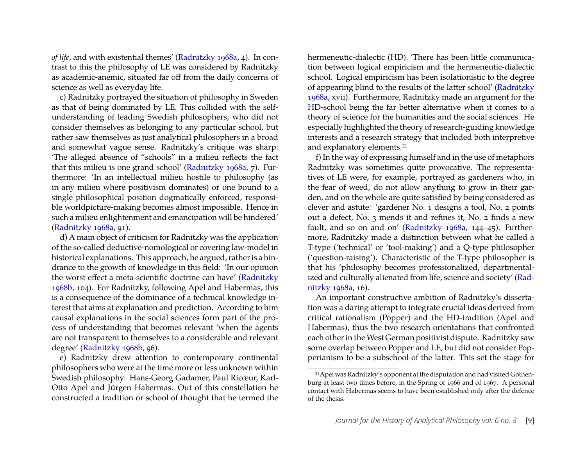*of life*, and with existential themes' (Radnitzky 1968a, 4). In contrast to this the philosophy of LE was considered by Radnitzky as academic-anemic, situated far off from the daily concerns of science as well as everyday life.

c) Radnitzky portrayed the situation of philosophy in Sweden as that of being dominated by LE. This collided with the selfunderstanding of leading Swedish philosophers, who did not consider themselves as belonging to any particular school, but rather saw themselves as just analytical philosophers in a broad and somewhat vague sense. Radnitzky's critique was sharp: 'The alleged absence of "schools" in a milieu reflects the fact that this milieu is one grand school' (Radnitzky 1968a, 7). Furthermore: 'In an intellectual milieu hostile to philosophy (as in any milieu where positivism dominates) or one bound to a single philosophical position dogmatically enforced, responsible worldpicture-making becomes almost impossible. Hence in such a milieu enlightenment and emancipation will be hindered' (Radnitzky 1968a, 91).

d) A main object of criticism for Radnitzky was the application of the so-called deductive-nomological or covering law-model in historical explanations. This approach, he argued, rather is a hindrance to the growth of knowledge in this field: 'In our opinion the worst effect a meta-scientific doctrine can have' (Radnitzky 1968b, 104). For Radnitzky, following Apel and Habermas, this is a consequence of the dominance of a technical knowledge interest that aims at explanation and prediction. According to him causal explanations in the social sciences form part of the process of understanding that becomes relevant 'when the agents are not transparent to themselves to a considerable and relevant degree' (Radnitzky 1968b, 96).

e) Radnitzky drew attention to contemporary continental philosophers who were at the time more or less unknown within Swedish philosophy: Hans-Georg Gadamer, Paul Ricœur, Karl-Otto Apel and Jürgen Habermas. Out of this constellation he constructed a tradition or school of thought that he termed the hermeneutic-dialectic (HD). 'There has been little communication between logical empiricism and the hermeneutic-dialectic school. Logical empiricism has been isolationistic to the degree of appearing blind to the results of the latter school' (Radnitzky 1968a, xvii). Furthermore, Radnitzky made an argument for the HD-school being the far better alternative when it comes to a theory of science for the humanities and the social sciences. He especially highlighted the theory of research-guiding knowledge interests and a research strategy that included both interpretive and explanatory elements.21

f) In the way of expressing himself and in the use of metaphors Radnitzky was sometimes quite provocative. The representatives of LE were, for example, portrayed as gardeners who, in the fear of weed, do not allow anything to grow in their garden, and on the whole are quite satisfied by being considered as clever and astute: 'gardener No. 1 designs a tool, No. 2 points out a defect, No. 3 mends it and refines it, No. 2 finds a new fault, and so on and on' (Radnitzky 1968a, 144–45). Furthermore, Radnitzky made a distinction between what he called a T-type ('technical' or 'tool-making') and a Q-type philosopher ('question-raising'). Characteristic of the T-type philosopher is that his 'philosophy becomes professionalized, departmentalized and culturally alienated from life, science and society' (Radnitzky 1968a, 16).

An important constructive ambition of Radnitzky's dissertation was a daring attempt to integrate crucial ideas derived from critical rationalism (Popper) and the HD-tradition (Apel and Habermas), thus the two research orientations that confronted each other in the West German positivist dispute. Radnitzky saw some overlap between Popper and LE, but did not consider Popperianism to be a subschool of the latter. This set the stage for

<sup>21</sup>Apel was Radnitzky's opponent at the disputation and had visited Gothenburg at least two times before, in the Spring of 1966 and of 1967. A personal contact with Habermas seems to have been established only after the defence of the thesis.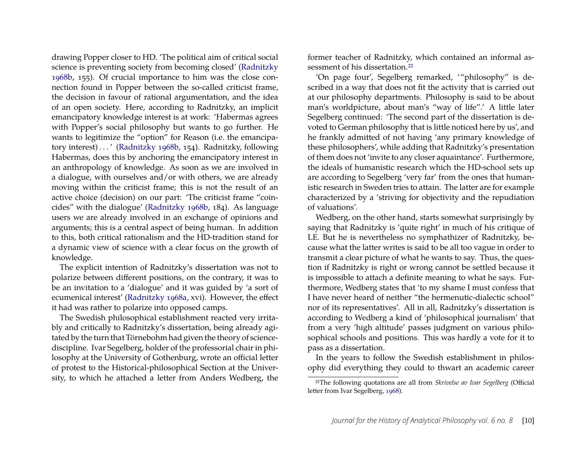drawing Popper closer to HD. 'The political aim of critical social science is preventing society from becoming closed' (Radnitzky 1968b, 155). Of crucial importance to him was the close connection found in Popper between the so-called criticist frame, the decision in favour of rational argumentation, and the idea of an open society. Here, according to Radnitzky, an implicit emancipatory knowledge interest is at work: 'Habermas agrees with Popper's social philosophy but wants to go further. He wants to legitimize the "option" for Reason (i.e. the emancipatory interest) . . . ' (Radnitzky 1968b, 154). Radnitzky, following Habermas, does this by anchoring the emancipatory interest in an anthropology of knowledge. As soon as we are involved in a dialogue, with ourselves and/or with others, we are already moving within the criticist frame; this is not the result of an active choice (decision) on our part: 'The criticist frame "coincides" with the dialogue' (Radnitzky 1968b, 184). As language users we are already involved in an exchange of opinions and arguments; this is a central aspect of being human. In addition to this, both critical rationalism and the HD-tradition stand for a dynamic view of science with a clear focus on the growth of knowledge.

The explicit intention of Radnitzky's dissertation was not to polarize between different positions, on the contrary, it was to be an invitation to a 'dialogue' and it was guided by 'a sort of ecumenical interest' (Radnitzky 1968a, xvi). However, the effect it had was rather to polarize into opposed camps.

The Swedish philosophical establishment reacted very irritably and critically to Radnitzky's dissertation, being already agitated by the turn that Törnebohm had given the theory of sciencediscipline. Ivar Segelberg, holder of the professorial chair in philosophy at the University of Gothenburg, wrote an official letter of protest to the Historical-philosophical Section at the University, to which he attached a letter from Anders Wedberg, the former teacher of Radnitzky, which contained an informal assessment of his dissertation.<sup>22</sup>

'On page four', Segelberg remarked, '"philosophy" is described in a way that does not fit the activity that is carried out at our philosophy departments. Philosophy is said to be about man's worldpicture, about man's "way of life".' A little later Segelberg continued: 'The second part of the dissertation is devoted to German philosophy that is little noticed here by us', and he frankly admitted of not having 'any primary knowledge of these philosophers', while adding that Radnitzky's presentation of them does not 'invite to any closer aquaintance'. Furthermore, the ideals of humanistic research which the HD-school sets up are according to Segelberg 'very far' from the ones that humanistic research in Sweden tries to attain. The latter are for example characterized by a 'striving for objectivity and the repudiation of valuations'.

Wedberg, on the other hand, starts somewhat surprisingly by saying that Radnitzky is 'quite right' in much of his critique of LE. But he is nevertheless no symphathizer of Radnitzky, because what the latter writes is said to be all too vague in order to transmit a clear picture of what he wants to say. Thus, the question if Radnitzky is right or wrong cannot be settled because it is impossible to attach a definite meaning to what he says. Furthermore, Wedberg states that 'to my shame I must confess that I have never heard of neither "the hermenutic-dialectic school" nor of its representatives'. All in all, Radnitzky's dissertation is according to Wedberg a kind of 'philosophical journalism' that from a very 'high altitude' passes judgment on various philosophical schools and positions. This was hardly a vote for it to pass as a dissertation.

In the years to follow the Swedish establishment in philosophy did everything they could to thwart an academic career

<sup>22</sup>The following quotations are all from *Skrivelse av Ivar Segelberg* (Official letter from Ivar Segelberg, 1968).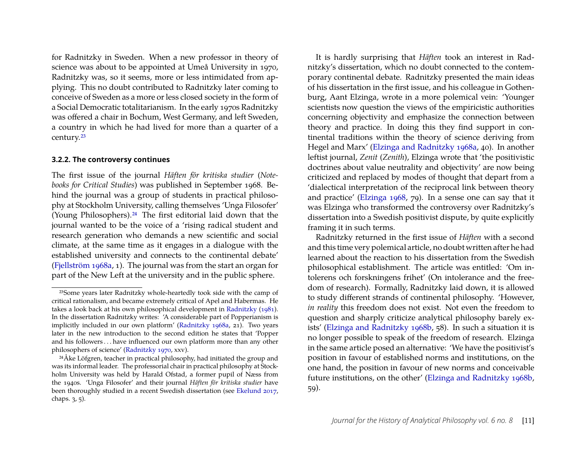for Radnitzky in Sweden. When a new professor in theory of science was about to be appointed at Umeå University in 1970, Radnitzky was, so it seems, more or less intimidated from applying. This no doubt contributed to Radnitzky later coming to conceive of Sweden as a more or less closed society in the form of a Social Democratic totalitarianism. In the early 1970s Radnitzky was offered a chair in Bochum, West Germany, and left Sweden, a country in which he had lived for more than a quarter of a century.23

#### **3.2.2. The controversy continues**

The first issue of the journal *Häften för kritiska studier* (*Notebooks for Critical Studies*) was published in September 1968. Behind the journal was a group of students in practical philosophy at Stockholm University, calling themselves 'Unga Filosofer' (Young Philosophers).24 The first editorial laid down that the journal wanted to be the voice of a 'rising radical student and research generation who demands a new scientific and social climate, at the same time as it engages in a dialogue with the established university and connects to the continental debate' (Fjellström 1968a, 1). The journal was from the start an organ for part of the New Left at the university and in the public sphere.

It is hardly surprising that *Häften* took an interest in Radnitzky's dissertation, which no doubt connected to the contemporary continental debate. Radnitzky presented the main ideas of his dissertation in the first issue, and his colleague in Gothenburg, Aant Elzinga, wrote in a more polemical vein: 'Younger scientists now question the views of the empiricistic authorities concerning objectivity and emphasize the connection between theory and practice. In doing this they find support in continental traditions within the theory of science deriving from Hegel and Marx' (Elzinga and Radnitzky 1968a, 40). In another leftist journal, *Zenit* (*Zenith*), Elzinga wrote that 'the positivistic doctrines about value neutrality and objectivity' are now being criticized and replaced by modes of thought that depart from a 'dialectical interpretation of the reciprocal link between theory and practice' (Elzinga 1968, 79). In a sense one can say that it was Elzinga who transformed the controversy over Radnitzky's dissertation into a Swedish positivist dispute, by quite explicitly framing it in such terms.

Radnitzky returned in the first issue of *Häften* with a second and this time very polemical article, no doubt written after he had learned about the reaction to his dissertation from the Swedish philosophical establishment. The article was entitled: 'Om intolerens och forskningens frihet' (On intolerance and the freedom of research). Formally, Radnitzky laid down, it is allowed to study different strands of continental philosophy. 'However, *in reality* this freedom does not exist. Not even the freedom to question and sharply criticize analytical philosophy barely exists' (Elzinga and Radnitzky 1968b, 58). In such a situation it is no longer possible to speak of the freedom of research. Elzinga in the same article posed an alternative: 'We have the positivist's position in favour of established norms and institutions, on the one hand, the position in favour of new norms and conceivable future institutions, on the other' (Elzinga and Radnitzky 1968b, 59).

<sup>23</sup>Some years later Radnitzky whole-heartedly took side with the camp of critical rationalism, and became extremely critical of Apel and Habermas. He takes a look back at his own philosophical development in Radnitzky (1981). In the dissertation Radnitzky writes: 'A considerable part of Popperianism is implicitly included in our own platform' (Radnitzky 1968a, 21). Two years later in the new introduction to the second edition he states that 'Popper and his followers . . . have influenced our own platform more than any other philosophers of science' (Radnitzky 1970, xxv).

<sup>&</sup>lt;sup>24</sup>Åke Löfgren, teacher in practical philosophy, had initiated the group and was its informal leader. The professorial chair in practical philosophy at Stockholm University was held by Harald Ofstad, a former pupil of Næss from the 1940s. 'Unga Filosofer' and their journal *Häften för kritiska studier* have been thoroughly studied in a recent Swedish dissertation (see Ekelund 2017, chaps. 3, 5).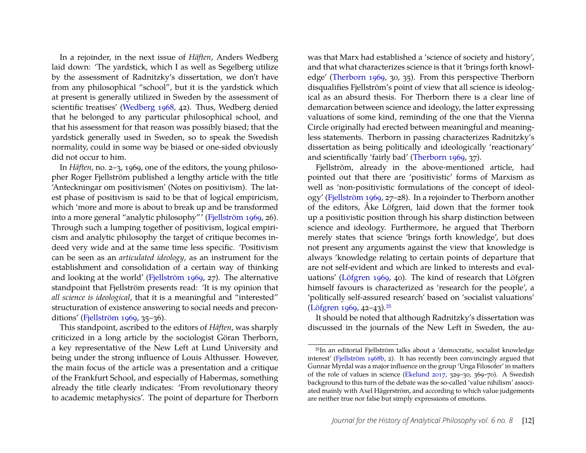In a rejoinder, in the next issue of *Häften*, Anders Wedberg laid down: 'The yardstick, which I as well as Segelberg utilize by the assessment of Radnitzky's dissertation, we don't have from any philosophical "school", but it is the yardstick which at present is generally utilized in Sweden by the assessment of scientific treatises' (Wedberg 1968, 42). Thus, Wedberg denied that he belonged to any particular philosophical school, and that his assessment for that reason was possibly biased; that the yardstick generally used in Sweden, so to speak the Swedish normality, could in some way be biased or one-sided obviously did not occur to him.

In *Häften*, no. 2–3, 1969, one of the editors, the young philosopher Roger Fjellström published a lengthy article with the title 'Anteckningar om positivismen' (Notes on positivism). The latest phase of positivism is said to be that of logical empiricism, which 'more and more is about to break up and be transformed into a more general "analytic philosophy"' (Fjellström 1969, 26). Through such a lumping together of positivism, logical empiricism and analytic philosophy the target of critique becomes indeed very wide and at the same time less specific. 'Positivism can be seen as an *articulated ideology*, as an instrument for the establishment and consolidation of a certain way of thinking and looking at the world' (Fjellström 1969, 27). The alternative standpoint that Fjellström presents read: 'It is my opinion that *all science is ideological*, that it is a meaningful and "interested" structuration of existence answering to social needs and preconditions' (Fjellström 1969, 35–36).

This standpoint, ascribed to the editors of *Häften*, was sharply criticized in a long article by the sociologist Göran Therborn, a key representative of the New Left at Lund University and being under the strong influence of Louis Althusser. However, the main focus of the article was a presentation and a critique of the Frankfurt School, and especially of Habermas, something already the title clearly indicates: 'From revolutionary theory to academic metaphysics'. The point of departure for Therborn

was that Marx had established a 'science of society and history', and that what characterizes science is that it 'brings forth knowledge' (Therborn 1969, 30, 35). From this perspective Therborn disqualifies Fjellström's point of view that all science is ideological as an absurd thesis. For Therborn there is a clear line of demarcation between science and ideology, the latter expressing valuations of some kind, reminding of the one that the Vienna Circle originally had erected between meaningful and meaningless statements. Therborn in passing characterizes Radnitzky's dissertation as being politically and ideologically 'reactionary' and scientifically 'fairly bad' (Therborn 1969, 37).

Fjellström, already in the above-mentioned article, had pointed out that there are 'positivistic' forms of Marxism as well as 'non-positivistic formulations of the concept of ideology' (Fjellström 1969, 27–28). In a rejoinder to Therborn another of the editors, Åke Löfgren, laid down that the former took up a positivistic position through his sharp distinction between science and ideology. Furthermore, he argued that Therborn merely states that science 'brings forth knowledge', but does not present any arguments against the view that knowledge is always 'knowledge relating to certain points of departure that are not self-evident and which are linked to interests and evaluations' (Löfgren 1969, 40). The kind of research that Löfgren himself favours is characterized as 'research for the people', a 'politically self-assured research' based on 'socialist valuations' (Löfgren 1969, 42–43).25

It should be noted that although Radnitzky's dissertation was discussed in the journals of the New Left in Sweden, the au-

<sup>25</sup>In an editorial Fjellström talks about a 'democratic, socialist knowledge interest' (Fjellström 1968b, 2). It has recently been convincingly argued that Gunnar Myrdal was a major influence on the group 'Unga Filosofer' in matters of the role of values in science (Ekelund 2017, 329–30, 369–70). A Swedish background to this turn of the debate was the so-called 'value nihilism' associated mainly with Axel Hägerström, and according to which value judgements are neither true nor false but simply expressions of emotions.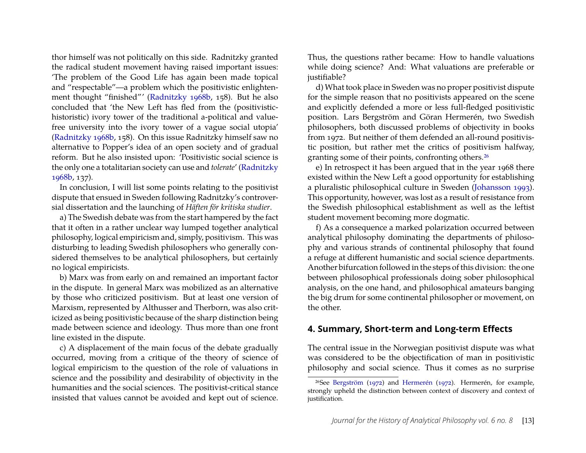thor himself was not politically on this side. Radnitzky granted the radical student movement having raised important issues: 'The problem of the Good Life has again been made topical and "respectable"—a problem which the positivistic enlightenment thought "finished"' (Radnitzky 1968b, 158). But he also concluded that 'the New Left has fled from the (positivistichistoristic) ivory tower of the traditional a-political and valuefree university into the ivory tower of a vague social utopia' (Radnitzky 1968b, 158). On this issue Radnitzky himself saw no alternative to Popper's idea of an open society and of gradual reform. But he also insisted upon: 'Positivistic social science is the only one a totalitarian society can use and *tolerate*' (Radnitzky 1968b, 137).

In conclusion, I will list some points relating to the positivist dispute that ensued in Sweden following Radnitzky's controversial dissertation and the launching of *Häften för kritiska studier*.

a) The Swedish debate was from the start hampered by the fact that it often in a rather unclear way lumped together analytical philosophy, logical empiricism and, simply, positivism. This was disturbing to leading Swedish philosophers who generally considered themselves to be analytical philosophers, but certainly no logical empiricists.

b) Marx was from early on and remained an important factor in the dispute. In general Marx was mobilized as an alternative by those who criticized positivism. But at least one version of Marxism, represented by Althusser and Therborn, was also criticized as being positivistic because of the sharp distinction being made between science and ideology. Thus more than one front line existed in the dispute.

c) A displacement of the main focus of the debate gradually occurred, moving from a critique of the theory of science of logical empiricism to the question of the role of valuations in science and the possibility and desirability of objectivity in the humanities and the social sciences. The positivist-critical stance insisted that values cannot be avoided and kept out of science.

Thus, the questions rather became: How to handle valuations while doing science? And: What valuations are preferable or justifiable?

d) What took place in Sweden was no proper positivist dispute for the simple reason that no positivists appeared on the scene and explicitly defended a more or less full-fledged positivistic position. Lars Bergström and Göran Hermerén, two Swedish philosophers, both discussed problems of objectivity in books from 1972. But neither of them defended an all-round positivistic position, but rather met the critics of positivism halfway, granting some of their points, confronting others.26

e) In retrospect it has been argued that in the year 1968 there existed within the New Left a good opportunity for establishing a pluralistic philosophical culture in Sweden (Johansson 1993). This opportunity, however, was lost as a result of resistance from the Swedish philosophical establishment as well as the leftist student movement becoming more dogmatic.

f) As a consequence a marked polarization occurred between analytical philosophy dominating the departments of philosophy and various strands of continental philosophy that found a refuge at different humanistic and social science departments. Another bifurcation followed in the steps of this division: the one between philosophical professionals doing sober philosophical analysis, on the one hand, and philosophical amateurs banging the big drum for some continental philosopher or movement, on the other.

### **4. Summary, Short-term and Long-term Effects**

The central issue in the Norwegian positivist dispute was what was considered to be the objectification of man in positivistic philosophy and social science. Thus it comes as no surprise

<sup>26</sup>See Bergström (1972) and Hermerén (1972). Hermerén, for example, strongly upheld the distinction between context of discovery and context of justification.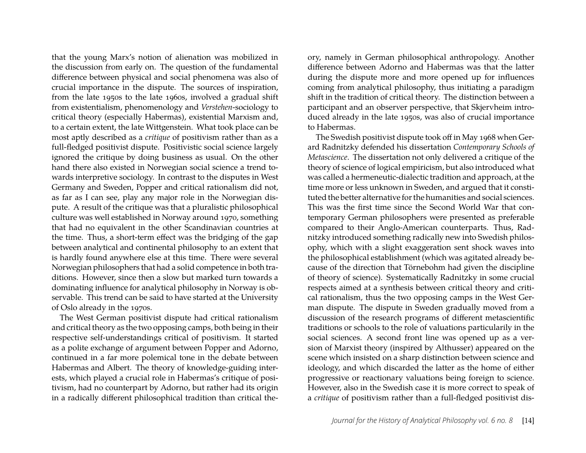that the young Marx's notion of alienation was mobilized in the discussion from early on. The question of the fundamental difference between physical and social phenomena was also of crucial importance in the dispute. The sources of inspiration, from the late 1950s to the late 1960s, involved a gradual shift from existentialism, phenomenology and *Verstehen*-sociology to critical theory (especially Habermas), existential Marxism and, to a certain extent, the late Wittgenstein. What took place can be most aptly described as a *critique* of positivism rather than as a full-fledged positivist dispute. Positivistic social science largely ignored the critique by doing business as usual. On the other hand there also existed in Norwegian social science a trend towards interpretive sociology. In contrast to the disputes in West Germany and Sweden, Popper and critical rationalism did not, as far as I can see, play any major role in the Norwegian dispute. A result of the critique was that a pluralistic philosophical culture was well established in Norway around 1970, something that had no equivalent in the other Scandinavian countries at the time. Thus, a short-term effect was the bridging of the gap between analytical and continental philosophy to an extent that is hardly found anywhere else at this time. There were several Norwegian philosophers that had a solid competence in both traditions. However, since then a slow but marked turn towards a dominating influence for analytical philosophy in Norway is observable. This trend can be said to have started at the University of Oslo already in the 1970s.

The West German positivist dispute had critical rationalism and critical theory as the two opposing camps, both being in their respective self-understandings critical of positivism. It started as a polite exchange of argument between Popper and Adorno, continued in a far more polemical tone in the debate between Habermas and Albert. The theory of knowledge-guiding interests, which played a crucial role in Habermas's critique of positivism, had no counterpart by Adorno, but rather had its origin in a radically different philosophical tradition than critical theory, namely in German philosophical anthropology. Another difference between Adorno and Habermas was that the latter during the dispute more and more opened up for influences coming from analytical philosophy, thus initiating a paradigm shift in the tradition of critical theory. The distinction between a participant and an observer perspective, that Skjervheim introduced already in the late 1950s, was also of crucial importance to Habermas.

The Swedish positivist dispute took off in May 1968 when Gerard Radnitzky defended his dissertation *Contemporary Schools of Metascience*. The dissertation not only delivered a critique of the theory of science of logical empiricism, but also introduced what was called a hermeneutic-dialectic tradition and approach, at the time more or less unknown in Sweden, and argued that it constituted the better alternative for the humanities and social sciences. This was the first time since the Second World War that contemporary German philosophers were presented as preferable compared to their Anglo-American counterparts. Thus, Radnitzky introduced something radically new into Swedish philosophy, which with a slight exaggeration sent shock waves into the philosophical establishment (which was agitated already because of the direction that Törnebohm had given the discipline of theory of science). Systematically Radnitzky in some crucial respects aimed at a synthesis between critical theory and critical rationalism, thus the two opposing camps in the West German dispute. The dispute in Sweden gradually moved from a discussion of the research programs of different metascientific traditions or schools to the role of valuations particularily in the social sciences. A second front line was opened up as a version of Marxist theory (inspired by Althusser) appeared on the scene which insisted on a sharp distinction between science and ideology, and which discarded the latter as the home of either progressive or reactionary valuations being foreign to science. However, also in the Swedish case it is more correct to speak of a *critique* of positivism rather than a full-fledged positivist dis-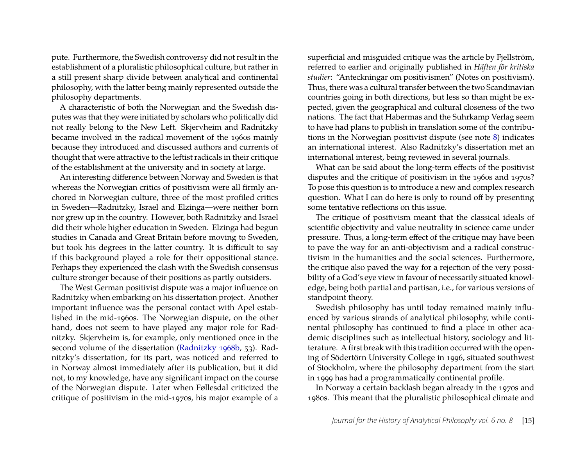pute. Furthermore, the Swedish controversy did not result in the establishment of a pluralistic philosophical culture, but rather in a still present sharp divide between analytical and continental philosophy, with the latter being mainly represented outside the philosophy departments.

A characteristic of both the Norwegian and the Swedish disputes was that they were initiated by scholars who politically did not really belong to the New Left. Skjervheim and Radnitzky became involved in the radical movement of the 1960s mainly because they introduced and discussed authors and currents of thought that were attractive to the leftist radicals in their critique of the establishment at the university and in society at large.

An interesting difference between Norway and Sweden is that whereas the Norwegian critics of positivism were all firmly anchored in Norwegian culture, three of the most profiled critics in Sweden—Radnitzky, Israel and Elzinga—were neither born nor grew up in the country. However, both Radnitzky and Israel did their whole higher education in Sweden. Elzinga had begun studies in Canada and Great Britain before moving to Sweden, but took his degrees in the latter country. It is difficult to say if this background played a role for their oppositional stance. Perhaps they experienced the clash with the Swedish consensus culture stronger because of their positions as partly outsiders.

The West German positivist dispute was a major influence on Radnitzky when embarking on his dissertation project. Another important influence was the personal contact with Apel established in the mid-1960s. The Norwegian dispute, on the other hand, does not seem to have played any major role for Radnitzky. Skjervheim is, for example, only mentioned once in the second volume of the dissertation (Radnitzky 1968b, 53). Radnitzky's dissertation, for its part, was noticed and referred to in Norway almost immediately after its publication, but it did not, to my knowledge, have any significant impact on the course of the Norwegian dispute. Later when Føllesdal criticized the critique of positivism in the mid-1970s, his major example of a

superficial and misguided critique was the article by Fjellström, referred to earlier and originally published in *Häften för kritiska studier*: "Anteckningar om positivismen" (Notes on positivism). Thus, there was a cultural transfer between the two Scandinavian countries going in both directions, but less so than might be expected, given the geographical and cultural closeness of the two nations. The fact that Habermas and the Suhrkamp Verlag seem to have had plans to publish in translation some of the contributions in the Norwegian positivist dispute (see note 8) indicates an international interest. Also Radnitzky's dissertation met an international interest, being reviewed in several journals.

What can be said about the long-term effects of the positivist disputes and the critique of positivism in the 1960s and 1970s? To pose this question is to introduce a new and complex research question. What I can do here is only to round off by presenting some tentative reflections on this issue.

The critique of positivism meant that the classical ideals of scientific objectivity and value neutrality in science came under pressure. Thus, a long-term effect of the critique may have been to pave the way for an anti-objectivism and a radical constructivism in the humanities and the social sciences. Furthermore, the critique also paved the way for a rejection of the very possibility of a God's eye view in favour of necessarily situated knowledge, being both partial and partisan, i.e., for various versions of standpoint theory.

Swedish philosophy has until today remained mainly influenced by various strands of analytical philosophy, while continental philosophy has continued to find a place in other academic disciplines such as intellectual history, sociology and litterature. A first break with this tradition occurred with the opening of Södertörn University College in 1996, situated southwest of Stockholm, where the philosophy department from the start in 1999 has had a programmatically continental profile.

In Norway a certain backlash began already in the 1970s and 1980s. This meant that the pluralistic philosophical climate and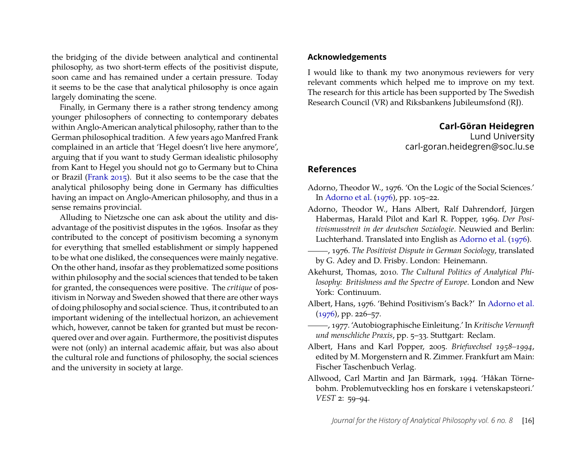the bridging of the divide between analytical and continental philosophy, as two short-term effects of the positivist dispute, soon came and has remained under a certain pressure. Today it seems to be the case that analytical philosophy is once again largely dominating the scene.

Finally, in Germany there is a rather strong tendency among younger philosophers of connecting to contemporary debates within Anglo-American analytical philosophy, rather than to the German philosophical tradition. A few years ago Manfred Frank complained in an article that 'Hegel doesn't live here anymore', arguing that if you want to study German idealistic philosophy from Kant to Hegel you should not go to Germany but to China or Brazil (Frank 2015). But it also seems to be the case that the analytical philosophy being done in Germany has difficulties having an impact on Anglo-American philosophy, and thus in a sense remains provincial.

Alluding to Nietzsche one can ask about the utility and disadvantage of the positivist disputes in the 1960s. Insofar as they contributed to the concept of positivism becoming a synonym for everything that smelled establishment or simply happened to be what one disliked, the consequences were mainly negative. On the other hand, insofar as they problematized some positions within philosophy and the social sciences that tended to be taken for granted, the consequences were positive. The *critique* of positivism in Norway and Sweden showed that there are other ways of doing philosophy and social science. Thus, it contributed to an important widening of the intellectual horizon, an achievement which, however, cannot be taken for granted but must be reconquered over and over again. Furthermore, the positivist disputes were not (only) an internal academic affair, but was also about the cultural role and functions of philosophy, the social sciences and the university in society at large.

#### **Acknowledgements**

I would like to thank my two anonymous reviewers for very relevant comments which helped me to improve on my text. The research for this article has been supported by The Swedish Research Council (VR) and Riksbankens Jubileumsfond (RJ).

**Carl-Göran Heidegren**

Lund University carl-goran.heidegren@soc.lu.se

## **References**

- Adorno, Theodor W., 1976. 'On the Logic of the Social Sciences.' In Adorno et al. (1976), pp. 105–22.
- Adorno, Theodor W., Hans Albert, Ralf Dahrendorf, Jürgen Habermas, Harald Pilot and Karl R. Popper, 1969. *Der Positivismusstreit in der deutschen Soziologie*. Neuwied and Berlin: Luchterhand. Translated into English as Adorno et al. (1976).
- , 1976. *The Positivist Dispute in German Sociology*, translated by G. Adey and D. Frisby. London: Heinemann.
- Akehurst, Thomas, 2010. *The Cultural Politics of Analytical Philosophy: Britishness and the Spectre of Europe*. London and New York: Continuum.
- Albert, Hans, 1976. 'Behind Positivism's Back?' In Adorno et al. (1976), pp. 226–57.
- , 1977. 'Autobiographische Einleitung.' In *Kritische Vernunft und menschliche Praxis*, pp. 5–33. Stuttgart: Reclam.
- Albert, Hans and Karl Popper, 2005. *Briefwechsel 1958–1994*, edited by M. Morgenstern and R. Zimmer. Frankfurt am Main: Fischer Taschenbuch Verlag.
- Allwood, Carl Martin and Jan Bärmark, 1994. 'Håkan Törnebohm. Problemutveckling hos en forskare i vetenskapsteori.' *VEST* 2: 59–94.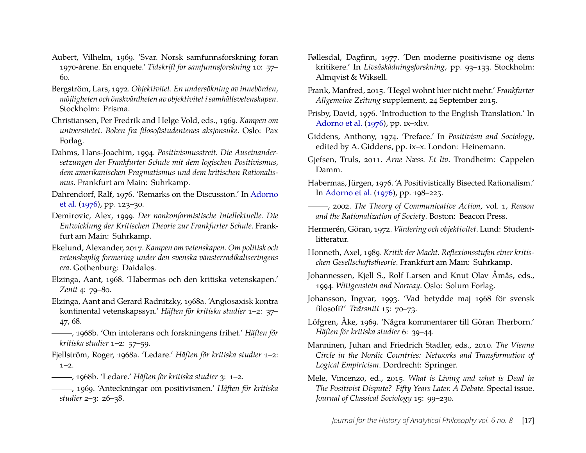- Aubert, Vilhelm, 1969. 'Svar. Norsk samfunnsforskning foran 1970-årene. En enquete.' *Tidskrift for samfunnsforskning* 10: 57– 60.
- Bergström, Lars, 1972. *Objektivitet. En undersökning av innebörden, möjligheten och önskvärdheten av objektivitet i samhällsvetenskapen*. Stockholm: Prisma.
- Christiansen, Per Fredrik and Helge Vold, eds., 1969. *Kampen om universitetet. Boken fra filosofistudentenes aksjonsuke*. Oslo: Pax Forlag.
- Dahms, Hans-Joachim, 1994. *Positivismusstreit. Die Auseinandersetzungen der Frankfurter Schule mit dem logischen Positivismus, dem amerikanischen Pragmatismus und dem kritischen Rationalismus*. Frankfurt am Main: Suhrkamp.
- Dahrendorf, Ralf, 1976. 'Remarks on the Discussion.' In Adorno et al. (1976), pp. 123–30.
- Demirovic, Alex, 1999. *Der nonkonformistische Intellektuelle. Die Entwicklung der Kritischen Theorie zur Frankfurter Schule*. Frankfurt am Main: Suhrkamp.
- Ekelund, Alexander, 2017. *Kampen om vetenskapen. Om politisk och vetenskaplig formering under den svenska vänsterradikaliseringens era*. Gothenburg: Daidalos.
- Elzinga, Aant, 1968. 'Habermas och den kritiska vetenskapen.' *Zenit* 4: 79–80.
- Elzinga, Aant and Gerard Radnitzky, 1968a. 'Anglosaxisk kontra kontinental vetenskapssyn.' *Häften för kritiska studier* 1–2: 37– 47, 68.
- , 1968b. 'Om intolerans och forskningens frihet.' *Häften för kritiska studier* 1–2: 57–59.
- Fjellström, Roger, 1968a. 'Ledare.' *Häften för kritiska studier* 1–2:  $1 - 2$ .
- , 1968b. 'Ledare.' *Häften för kritiska studier* 3: 1–2.
- , 1969. 'Anteckningar om positivismen.' *Häften för kritiska studier* 2–3: 26–38.
- Føllesdal, Dagfinn, 1977. 'Den moderne positivisme og dens kritikere.' In *Livsåskådningsforskning*, pp. 93–133. Stockholm: Almqvist & Wiksell.
- Frank, Manfred, 2015. 'Hegel wohnt hier nicht mehr.' *Frankfurter Allgemeine Zeitung* supplement, 24 September 2015.
- Frisby, David, 1976. 'Introduction to the English Translation.' In Adorno et al. (1976), pp. ix–xliv.
- Giddens, Anthony, 1974. 'Preface.' In *Positivism and Sociology*, edited by A. Giddens, pp. ix–x. London: Heinemann.
- Gjefsen, Truls, 2011. *Arne Næss. Et liv*. Trondheim: Cappelen Damm.
- Habermas, Jürgen, 1976. 'A Positivistically Bisected Rationalism.' In Adorno et al. (1976), pp. 198–225.
- , 2002. *The Theory of Communicative Action*, vol. 1, *Reason and the Rationalization of Society*. Boston: Beacon Press.
- Hermerén, Göran, 1972. *Värdering och objektivitet*. Lund: Studentlitteratur.
- Honneth, Axel, 1989. *Kritik der Macht. Reflexionsstufen einer kritischen Gesellschaftstheorie*. Frankfurt am Main: Suhrkamp.
- Johannessen, Kjell S., Rolf Larsen and Knut Olav Åmås, eds., 1994. *Wittgenstein and Norway*. Oslo: Solum Forlag.

Johansson, Ingvar, 1993. 'Vad betydde maj 1968 för svensk filosofi?' *Tvärsnitt* 15: 70–73.

- Löfgren, Åke, 1969. 'Några kommentarer till Göran Therborn.' *Häften för kritiska studier* 6: 39–44.
- Manninen, Juhan and Friedrich Stadler, eds., 2010. *The Vienna Circle in the Nordic Countries: Networks and Transformation of Logical Empiricism*. Dordrecht: Springer.
- Mele, Vincenzo, ed., 2015. *What is Living and what is Dead in The Positivist Dispute? Fifty Years Later. A Debate.* Special issue. *Journal of Classical Sociology* 15: 99–230.